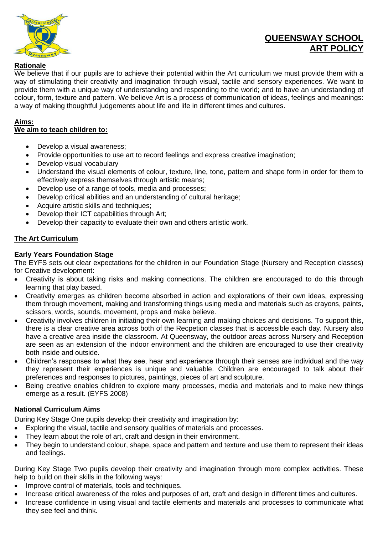

# **QUEENSWAY SCHOOL ART POLICY**

# **Rationale**

We believe that if our pupils are to achieve their potential within the Art curriculum we must provide them with a way of stimulating their creativity and imagination through visual, tactile and sensory experiences. We want to provide them with a unique way of understanding and responding to the world; and to have an understanding of colour, form, texture and pattern. We believe Art is a process of communication of ideas, feelings and meanings: a way of making thoughtful judgements about life and life in different times and cultures.

# **Aims:**

# **We aim to teach children to:**

- Develop a visual awareness;
- Provide opportunities to use art to record feelings and express creative imagination;
- Develop visual vocabulary
- Understand the visual elements of colour, texture, line, tone, pattern and shape form in order for them to effectively express themselves through artistic means;
- Develop use of a range of tools, media and processes;
- Develop critical abilities and an understanding of cultural heritage;
- Acquire artistic skills and techniques;
- Develop their ICT capabilities through Art:
- Develop their capacity to evaluate their own and others artistic work.

# **The Art Curriculum**

# **Early Years Foundation Stage**

The EYFS sets out clear expectations for the children in our Foundation Stage (Nursery and Reception classes) for Creative development:

- Creativity is about taking risks and making connections. The children are encouraged to do this through learning that play based.
- Creativity emerges as children become absorbed in action and explorations of their own ideas, expressing them through movement, making and transforming things using media and materials such as crayons, paints, scissors, words, sounds, movement, props and make believe.
- Creativity involves children in initiating their own learning and making choices and decisions. To support this, there is a clear creative area across both of the Recpetion classes that is accessible each day. Nursery also have a creative area inside the classroom. At Queensway, the outdoor areas across Nursery and Reception are seen as an extension of the indoor environment and the children are encouraged to use their creativity both inside and outside.
- Children's responses to what they see, hear and experience through their senses are individual and the way they represent their experiences is unique and valuable. Children are encouraged to talk about their preferences and responses to pictures, paintings, pieces of art and sculpture.
- Being creative enables children to explore many processes, media and materials and to make new things emerge as a result. (EYFS 2008)

# **National Curriculum Aims**

During Key Stage One pupils develop their creativity and imagination by:

- Exploring the visual, tactile and sensory qualities of materials and processes.
- They learn about the role of art, craft and design in their environment.
- They begin to understand colour, shape, space and pattern and texture and use them to represent their ideas and feelings.

During Key Stage Two pupils develop their creativity and imagination through more complex activities. These help to build on their skills in the following ways:

- Improve control of materials, tools and techniques.
- Increase critical awareness of the roles and purposes of art, craft and design in different times and cultures.
- Increase confidence in using visual and tactile elements and materials and processes to communicate what they see feel and think.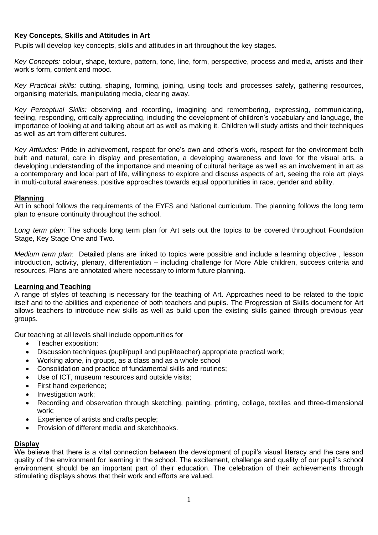# **Key Concepts, Skills and Attitudes in Art**

Pupils will develop key concepts, skills and attitudes in art throughout the key stages.

*Key Concepts:* colour, shape, texture, pattern, tone, line, form, perspective, process and media, artists and their work's form, content and mood.

*Key Practical skills:* cutting, shaping, forming, joining, using tools and processes safely, gathering resources, organising materials, manipulating media, clearing away.

*Key Perceptual Skills:* observing and recording, imagining and remembering, expressing, communicating, feeling, responding, critically appreciating, including the development of children's vocabulary and language, the importance of looking at and talking about art as well as making it. Children will study artists and their techniques as well as art from different cultures.

*Key Attitudes:* Pride in achievement, respect for one's own and other's work, respect for the environment both built and natural, care in display and presentation, a developing awareness and love for the visual arts, a developing understanding of the importance and meaning of cultural heritage as well as an involvement in art as a contemporary and local part of life, willingness to explore and discuss aspects of art, seeing the role art plays in multi-cultural awareness, positive approaches towards equal opportunities in race, gender and ability.

#### **Planning**

Art in school follows the requirements of the EYFS and National curriculum. The planning follows the long term plan to ensure continuity throughout the school.

*Long term plan*: The schools long term plan for Art sets out the topics to be covered throughout Foundation Stage, Key Stage One and Two.

*Medium term plan:* Detailed plans are linked to topics were possible and include a learning objective , lesson introduction, activity, plenary, differentiation – including challenge for More Able children, success criteria and resources. Plans are annotated where necessary to inform future planning.

#### **Learning and Teaching**

A range of styles of teaching is necessary for the teaching of Art. Approaches need to be related to the topic itself and to the abilities and experience of both teachers and pupils. The Progression of Skills document for Art allows teachers to introduce new skills as well as build upon the existing skills gained through previous year groups.

Our teaching at all levels shall include opportunities for

- Teacher exposition;
- Discussion techniques (pupil/pupil and pupil/teacher) appropriate practical work;
- Working alone, in groups, as a class and as a whole school
- Consolidation and practice of fundamental skills and routines;
- Use of ICT, museum resources and outside visits;
- First hand experience;
- Investigation work;
- Recording and observation through sketching, painting, printing, collage, textiles and three-dimensional work;
- Experience of artists and crafts people;
- Provision of different media and sketchbooks.

#### **Display**

We believe that there is a vital connection between the development of pupil's visual literacy and the care and quality of the environment for learning in the school. The excitement, challenge and quality of our pupil's school environment should be an important part of their education. The celebration of their achievements through stimulating displays shows that their work and efforts are valued.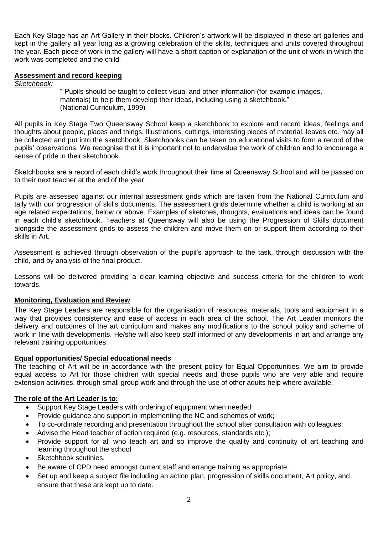Each Key Stage has an Art Gallery in their blocks. Children's artwork will be displayed in these art galleries and kept in the gallery all year long as a growing celebration of the skills, techniques and units covered throughout the year. Each piece of work in the gallery will have a short caption or explanation of the unit of work in which the work was completed and the child'

# **Assessment and record keeping**

*Sketchbook:*

" Pupils should be taught to collect visual and other information (for example images, materials) to help them develop their ideas, including using a sketchbook." (National Curriculum, 1999)

All pupils in Key Stage Two Queensway School keep a sketchbook to explore and record ideas, feelings and thoughts about people, places and things. Illustrations, cuttings, interesting pieces of material, leaves etc. may all be collected and put into the sketchbook. Sketchbooks can be taken on educational visits to form a record of the pupils' observations. We recognise that it is important not to undervalue the work of children and to encourage a sense of pride in their sketchbook.

Sketchbooks are a record of each child's work throughout their time at Queensway School and will be passed on to their next teacher at the end of the year.

Pupils are assessed against our internal assessment grids which are taken from the National Curriculum and tally with our progression of skills documents. The assessment grids determine whether a child is working at an age related expectations, below or above. Examples of sketches, thoughts, evaluations and ideas can be found in each child's sketchbook. Teachers at Queensway will also be using the Progression of Skills document alongside the assessment grids to assess the children and move them on or support them according to their skills in Art.

Assessment is achieved through observation of the pupil's approach to the task, through discussion with the child, and by analysis of the final product.

Lessons will be delivered providing a clear learning objective and success criteria for the children to work towards.

# **Monitoring, Evaluation and Review**

The Key Stage Leaders are responsible for the organisation of resources, materials, tools and equipment in a way that provides consistency and ease of access in each area of the school. The Art Leader monitors the delivery and outcomes of the art curriculum and makes any modifications to the school policy and scheme of work in line with developments. He/she will also keep staff informed of any developments in art and arrange any relevant training opportunities.

# **Equal opportunities/ Special educational needs**

The teaching of Art will be in accordance with the present policy for Equal Opportunities. We aim to provide equal access to Art for those children with special needs and those pupils who are very able and require extension activities, through small group work and through the use of other adults help where available.

# **The role of the Art Leader is to:**

- Support Key Stage Leaders with ordering of equipment when needed;
- Provide guidance and support in implementing the NC and schemes of work;
- To co-ordinate recording and presentation throughout the school after consultation with colleagues;
- Advise the Head teacher of action required (e.g. resources, standards etc.);
- Provide support for all who teach art and so improve the quality and continuity of art teaching and learning throughout the school
- Sketchbook scutinies.
- Be aware of CPD need amongst current staff and arrange training as appropriate.
- Set up and keep a subject file including an action plan, progression of skills document, Art policy, and ensure that these are kept up to date.